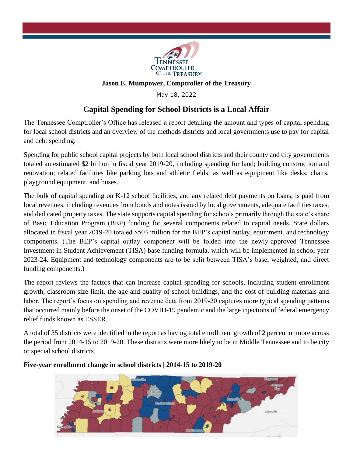

## **Jason E. Mumpower, Comptroller of the Treasury**

May 18, 2022

## **Capital Spending for School Districts is a Local Affair**

The Tennessee Comptroller's Office has released a report detailing the amount and types of capital spending for local school districts and an overview of the methods districts and local governments use to pay for capital and debt spending.

Spending for public school capital projects by both local school districts and their county and city governments totaled an estimated \$2 billion in fiscal year 2019-20, including spending for land; building construction and renovation; related facilities like parking lots and athletic fields; as well as equipment like desks, chairs, playground equipment, and buses.

The bulk of capital spending on K-12 school facilities, and any related debt payments on loans, is paid from local revenues, including revenues from bonds and notes issued by local governments, adequate facilities taxes, and dedicated property taxes. The state supports capital spending for schools primarily through the state's share of Basic Education Program (BEP) funding for several components related to capital needs. State dollars allocated in fiscal year 2019-20 totaled \$503 million for the BEP's capital outlay, equipment, and technology components. (The BEP's capital outlay component will be folded into the newly-approved Tennessee Investment in Student Achievement (TISA) base funding formula, which will be implemented in school year 2023-24. Equipment and technology components are to be split between TISA's base, weighted, and direct funding components.)

The report reviews the factors that can increase capital spending for schools, including student enrollment growth, classroom size limit, the age and quality of school buildings, and the cost of building materials and labor. The report's focus on spending and revenue data from 2019-20 captures more typical spending patterns that occurred mainly before the onset of the COVID-19 pandemic and the large injections of federal emergency relief funds known as ESSER.

A total of 35 districts were identified in the report as having total enrollment growth of 2 percent or more across the period from 2014-15 to 2019-20. These districts were more likely to be in Middle Tennessee and to be city or special school districts.

**Five-year enrollment change in school districts | 2014-15 to 2019-20**